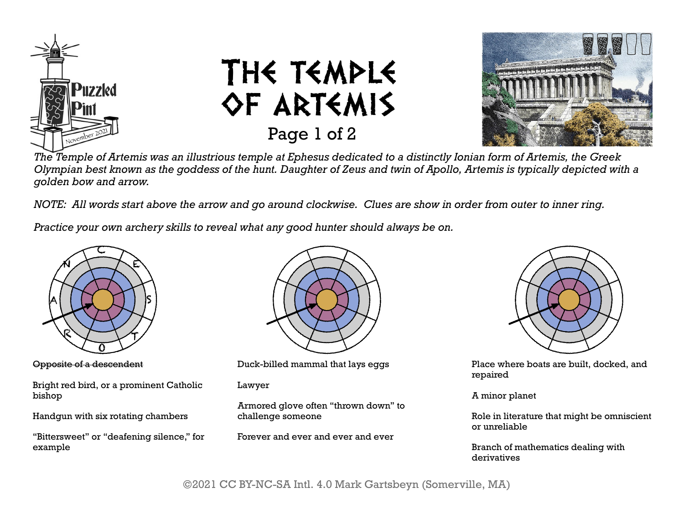





*The Temple of Artemis was an illustrious temple at Ephesus dedicated to a distinctly Ionian form of Artemis, the Greek Olympian best known as the goddess of the hunt. Daughter of Zeus and twin of Apollo, Artemis is typically depicted with a golden bow and arrow.*

*NOTE: All words start above the arrow and go around clockwise. Clues are show in order from outer to inner ring.*

*Practice your own archery skills to reveal what any good hunter should always be on.*



Opposite of a descendent

Bright red bird, or a prominent Catholic bishop

Handgun with six rotating chambers

"Bittersweet" or "deafening silence," for example



Duck-billed mammal that lays eggs

Lawyer

Armored glove often "thrown down" to challenge someone

Forever and ever and ever and ever



Place where boats are built, docked, and repaired

A minor planet

Role in literature that might be omniscient or unreliable

Branch of mathematics dealing with derivatives

©2021 CC BY-NC-SA Intl. 4.0 Mark Gartsbeyn (Somerville, MA)